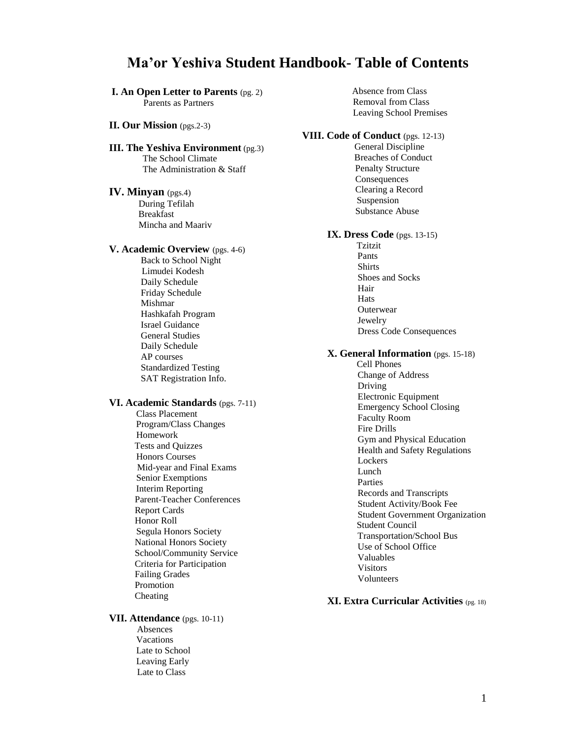# **Ma'or Yeshiva Student Handbook- Table of Contents**

# **I. An Open Letter to Parents** (pg. 2)

Parents as Partners

#### **II. Our Mission** (pgs.2-3)

#### **III. The Yeshiva Environment** (pg.3) The School Climate The Administration & Staff

#### **IV. Minyan** (pgs.4)

 During Tefilah Breakfast Mincha and Maariv

#### **V. Academic Overview** (pgs. 4-6)

 Back to School Night Limudei Kodesh Daily Schedule Friday Schedule Mishmar Hashkafah Program Israel Guidance General Studies Daily Schedule AP courses Standardized Testing SAT Registration Info.

#### **VI. Academic Standards** (pgs. 7-11)

 Class Placement Program/Class Changes Homework Tests and Quizzes Honors Courses Mid-year and Final Exams Senior Exemptions Interim Reporting Parent-Teacher Conferences Report Cards Honor Roll Segula Honors Society National Honors Society School/Community Service Criteria for Participation Failing Grades Promotion Cheating

#### **VII. Attendance** (pgs. 10-11) Absences Vacations Late to School Leaving Early

Late to Class

#### Absence from Class Removal from Class Leaving School Premises

#### **VIII. Code of Conduct** (pgs. 12-13)

 General Discipline Breaches of Conduct Penalty Structure Consequences Clearing a Record Suspension Substance Abuse

# **IX. Dress Code** (pgs. 13-15)

 Tzitzit Pants Shirts Shoes and Socks Hair **Hats Outerwear**  Jewelry Dress Code Consequences

#### **X. General Information** (pgs. 15-18)

 Cell Phones Change of Address Driving Electronic Equipment Emergency School Closing Faculty Room Fire Drills Gym and Physical Education Health and Safety Regulations Lockers Lunch Parties Records and Transcripts Student Activity/Book Fee Student Government Organization Student Council Transportation/School Bus Use of School Office Valuables Visitors Volunteers

# **XI. Extra Curricular Activities** (pg. 18)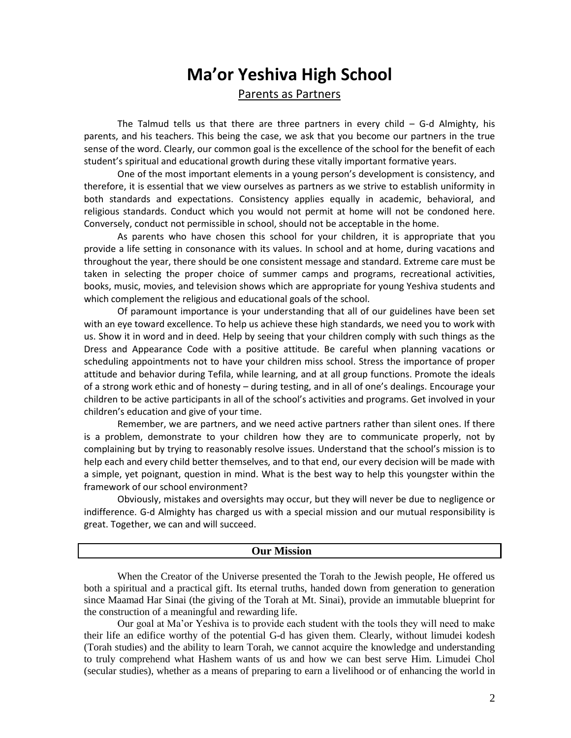# **Ma'or Yeshiva High School** Parents as Partners

The Talmud tells us that there are three partners in every child – G-d Almighty, his parents, and his teachers. This being the case, we ask that you become our partners in the true sense of the word. Clearly, our common goal is the excellence of the school for the benefit of each student's spiritual and educational growth during these vitally important formative years.

One of the most important elements in a young person's development is consistency, and therefore, it is essential that we view ourselves as partners as we strive to establish uniformity in both standards and expectations. Consistency applies equally in academic, behavioral, and religious standards. Conduct which you would not permit at home will not be condoned here. Conversely, conduct not permissible in school, should not be acceptable in the home.

As parents who have chosen this school for your children, it is appropriate that you provide a life setting in consonance with its values. In school and at home, during vacations and throughout the year, there should be one consistent message and standard. Extreme care must be taken in selecting the proper choice of summer camps and programs, recreational activities, books, music, movies, and television shows which are appropriate for young Yeshiva students and which complement the religious and educational goals of the school.

Of paramount importance is your understanding that all of our guidelines have been set with an eye toward excellence. To help us achieve these high standards, we need you to work with us. Show it in word and in deed. Help by seeing that your children comply with such things as the Dress and Appearance Code with a positive attitude. Be careful when planning vacations or scheduling appointments not to have your children miss school. Stress the importance of proper attitude and behavior during Tefila, while learning, and at all group functions. Promote the ideals of a strong work ethic and of honesty – during testing, and in all of one's dealings. Encourage your children to be active participants in all of the school's activities and programs. Get involved in your children's education and give of your time.

Remember, we are partners, and we need active partners rather than silent ones. If there is a problem, demonstrate to your children how they are to communicate properly, not by complaining but by trying to reasonably resolve issues. Understand that the school's mission is to help each and every child better themselves, and to that end, our every decision will be made with a simple, yet poignant, question in mind. What is the best way to help this youngster within the framework of our school environment?

Obviously, mistakes and oversights may occur, but they will never be due to negligence or indifference. G-d Almighty has charged us with a special mission and our mutual responsibility is great. Together, we can and will succeed.

# **Our Mission**

When the Creator of the Universe presented the Torah to the Jewish people, He offered us both a spiritual and a practical gift. Its eternal truths, handed down from generation to generation since Maamad Har Sinai (the giving of the Torah at Mt. Sinai), provide an immutable blueprint for the construction of a meaningful and rewarding life.

Our goal at Ma'or Yeshiva is to provide each student with the tools they will need to make their life an edifice worthy of the potential G-d has given them. Clearly, without limudei kodesh (Torah studies) and the ability to learn Torah, we cannot acquire the knowledge and understanding to truly comprehend what Hashem wants of us and how we can best serve Him. Limudei Chol (secular studies), whether as a means of preparing to earn a livelihood or of enhancing the world in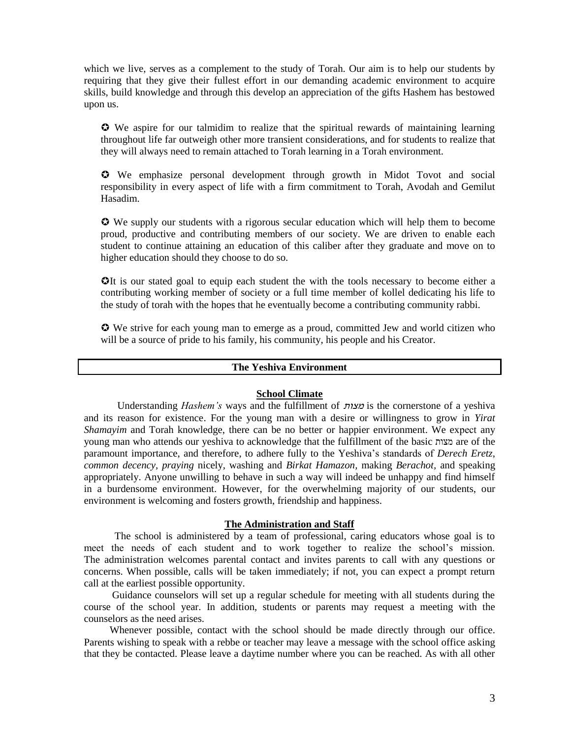which we live, serves as a complement to the study of Torah. Our aim is to help our students by requiring that they give their fullest effort in our demanding academic environment to acquire skills, build knowledge and through this develop an appreciation of the gifts Hashem has bestowed upon us.

 We aspire for our talmidim to realize that the spiritual rewards of maintaining learning throughout life far outweigh other more transient considerations, and for students to realize that they will always need to remain attached to Torah learning in a Torah environment.

 We emphasize personal development through growth in Midot Tovot and social responsibility in every aspect of life with a firm commitment to Torah, Avodah and Gemilut Hasadim.

 We supply our students with a rigorous secular education which will help them to become proud, productive and contributing members of our society. We are driven to enable each student to continue attaining an education of this caliber after they graduate and move on to higher education should they choose to do so.

**O**It is our stated goal to equip each student the with the tools necessary to become either a contributing working member of society or a full time member of kollel dedicating his life to the study of torah with the hopes that he eventually become a contributing community rabbi.

 We strive for each young man to emerge as a proud, committed Jew and world citizen who will be a source of pride to his family, his community, his people and his Creator.

# **The Yeshiva Environment**

## **School Climate**

 Understanding *Hashem's* ways and the fulfillment of מצות is the cornerstone of a yeshiva and its reason for existence. For the young man with a desire or willingness to grow in *Yirat Shamayim* and Torah knowledge, there can be no better or happier environment. We expect any young man who attends our yeshiva to acknowledge that the fulfillment of the basic מצות are of the paramount importance, and therefore, to adhere fully to the Yeshiva's standards of *Derech Eretz*, *common decency, praying* nicely, washing and *Birkat Hamazon,* making *Berachot,* and speaking appropriately. Anyone unwilling to behave in such a way will indeed be unhappy and find himself in a burdensome environment. However, for the overwhelming majority of our students, our environment is welcoming and fosters growth, friendship and happiness.

#### **The Administration and Staff**

 The school is administered by a team of professional, caring educators whose goal is to meet the needs of each student and to work together to realize the school's mission. The administration welcomes parental contact and invites parents to call with any questions or concerns. When possible, calls will be taken immediately; if not, you can expect a prompt return call at the earliest possible opportunity.

 Guidance counselors will set up a regular schedule for meeting with all students during the course of the school year. In addition, students or parents may request a meeting with the counselors as the need arises.

 Whenever possible, contact with the school should be made directly through our office. Parents wishing to speak with a rebbe or teacher may leave a message with the school office asking that they be contacted. Please leave a daytime number where you can be reached. As with all other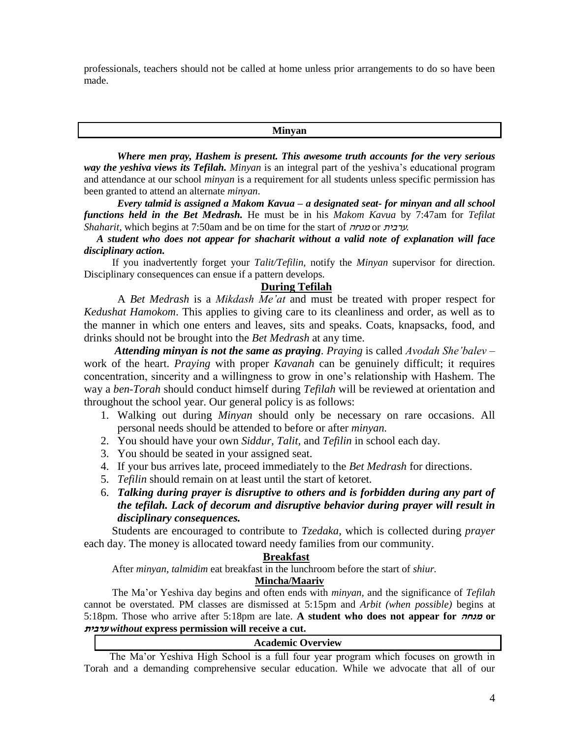professionals, teachers should not be called at home unless prior arrangements to do so have been made.

# **Minyan**

 *Where men pray, Hashem is present. This awesome truth accounts for the very serious way the yeshiva views its Tefilah. Minyan* is an integral part of the yeshiva's educational program and attendance at our school *minyan* is a requirement for all students unless specific permission has been granted to attend an alternate *minyan*.

 *Every talmid is assigned a Makom Kavua – a designated seat- for minyan and all school functions held in the Bet Medrash.* He must be in his *Makom Kavua* by 7:47am for *Tefilat Shaharit*, which begins at 7:50am and be on time for the start of מנחה or ערבית.

 *A student who does not appear for shacharit without a valid note of explanation will face disciplinary action.*

 If you inadvertently forget your *Talit/Tefilin*, notify the *Minyan* supervisor for direction. Disciplinary consequences can ensue if a pattern develops.

# **During Tefilah**

 A *Bet Medrash* is a *Mikdash Me'at* and must be treated with proper respect for *Kedushat Hamokom*. This applies to giving care to its cleanliness and order, as well as to the manner in which one enters and leaves, sits and speaks. Coats, knapsacks, food, and drinks should not be brought into the *Bet Medrash* at any time.

 *Attending minyan is not the same as praying*. *Praying* is called *Avodah She'balev* – work of the heart. *Praying* with proper *Kavanah* can be genuinely difficult; it requires concentration, sincerity and a willingness to grow in one's relationship with Hashem. The way a *ben-Torah* should conduct himself during *Tefilah* will be reviewed at orientation and throughout the school year. Our general policy is as follows:

- 1. Walking out during *Minyan* should only be necessary on rare occasions. All personal needs should be attended to before or after *minyan.*
- 2. You should have your own *Siddur, Talit,* and *Tefilin* in school each day.
- 3. You should be seated in your assigned seat.
- 4. If your bus arrives late, proceed immediately to the *Bet Medrash* for directions.
- 5. *Tefilin* should remain on at least until the start of ketoret.
- 6. *Talking during prayer is disruptive to others and is forbidden during any part of the tefilah. Lack of decorum and disruptive behavior during prayer will result in disciplinary consequences.*

 Students are encouraged to contribute to *Tzedaka*, which is collected during *prayer*  each day. The money is allocated toward needy families from our community.

# **Breakfast**

After *minyan*, *talmidim* eat breakfast in the lunchroom before the start of *shiur.*

# **Mincha/Maariv**

 The Ma'or Yeshiva day begins and often ends with *minyan,* and the significance of *Tefilah*  cannot be overstated. PM classes are dismissed at 5:15pm and *Arbit (when possible)* begins at 5:18pm. Those who arrive after 5:18pm are late. **A student who does not appear for מנחה or ערבית** *without* **express permission will receive a cut.**

# **Academic Overview**

The Ma'or Yeshiva High School is a full four year program which focuses on growth in Torah and a demanding comprehensive secular education. While we advocate that all of our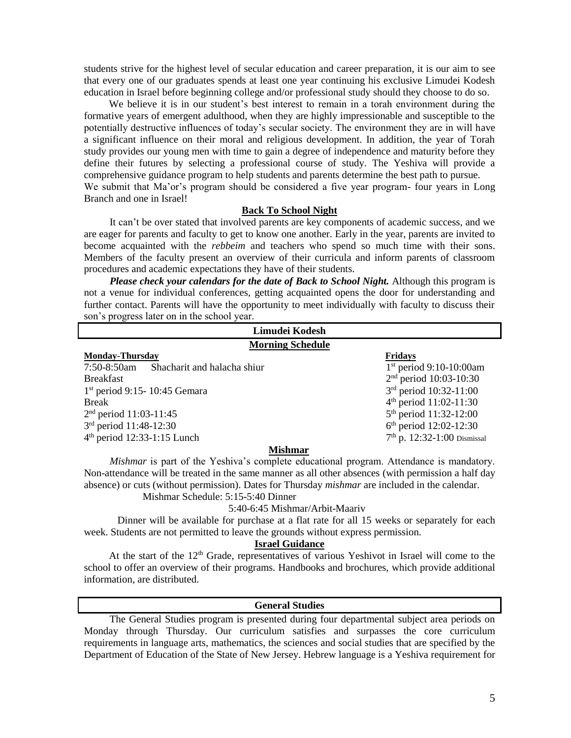students strive for the highest level of secular education and career preparation, it is our aim to see that every one of our graduates spends at least one year continuing his exclusive Limudei Kodesh education in Israel before beginning college and/or professional study should they choose to do so.

We believe it is in our student's best interest to remain in a torah environment during the formative years of emergent adulthood, when they are highly impressionable and susceptible to the potentially destructive influences of today's secular society. The environment they are in will have a significant influence on their moral and religious development. In addition, the year of Torah study provides our young men with time to gain a degree of independence and maturity before they define their futures by selecting a professional course of study. The Yeshiva will provide a comprehensive guidance program to help students and parents determine the best path to pursue. We submit that Ma'or's program should be considered a five year program- four years in Long Branch and one in Israel!

# **Back To School Night**

 It can't be over stated that involved parents are key components of academic success, and we are eager for parents and faculty to get to know one another. Early in the year, parents are invited to become acquainted with the *rebbeim* and teachers who spend so much time with their sons. Members of the faculty present an overview of their curricula and inform parents of classroom procedures and academic expectations they have of their students.

 *Please check your calendars for the date of Back to School Night.* Although this program is not a venue for individual conferences, getting acquainted opens the door for understanding and further contact. Parents will have the opportunity to meet individually with faculty to discuss their son's progress later on in the school year.

| Limudei Kodesh                                |                                    |  |  |
|-----------------------------------------------|------------------------------------|--|--|
| <b>Morning Schedule</b>                       |                                    |  |  |
| <b>Monday-Thursday</b>                        | <b>Fridays</b>                     |  |  |
| $7:50-8:50$ am<br>Shacharit and halacha shiur | $1st$ period 9:10-10:00am          |  |  |
| <b>Breakfast</b>                              | $2nd$ period 10:03-10:30           |  |  |
| $1st$ period 9:15-10:45 Gemara                | 3rd period 10:32-11:00             |  |  |
| <b>Break</b>                                  | 4 <sup>th</sup> period 11:02-11:30 |  |  |
| $2nd$ period 11:03-11:45                      | 5 <sup>th</sup> period 11:32-12:00 |  |  |
| 3rd period 11:48-12:30                        | $6th$ period 12:02-12:30           |  |  |
| $4th$ period 12:33-1:15 Lunch                 | $7th$ p. 12:32-1:00 Dismissal      |  |  |
| Michmor                                       |                                    |  |  |

 **Mishmar**

 *Mishmar* is part of the Yeshiva's complete educational program. Attendance is mandatory. Non-attendance will be treated in the same manner as all other absences (with permission a half day absence) or cuts (without permission). Dates for Thursday *mishmar* are included in the calendar. Mishmar Schedule: 5:15-5:40 Dinner

# 5:40-6:45 Mishmar/Arbit-Maariv

Dinner will be available for purchase at a flat rate for all 15 weeks or separately for each week. Students are not permitted to leave the grounds without express permission.

# **Israel Guidance**

At the start of the  $12<sup>th</sup>$  Grade, representatives of various Yeshivot in Israel will come to the school to offer an overview of their programs. Handbooks and brochures, which provide additional information, are distributed.

# **General Studies**

 The General Studies program is presented during four departmental subject area periods on Monday through Thursday. Our curriculum satisfies and surpasses the core curriculum requirements in language arts, mathematics, the sciences and social studies that are specified by the Department of Education of the State of New Jersey. Hebrew language is a Yeshiva requirement for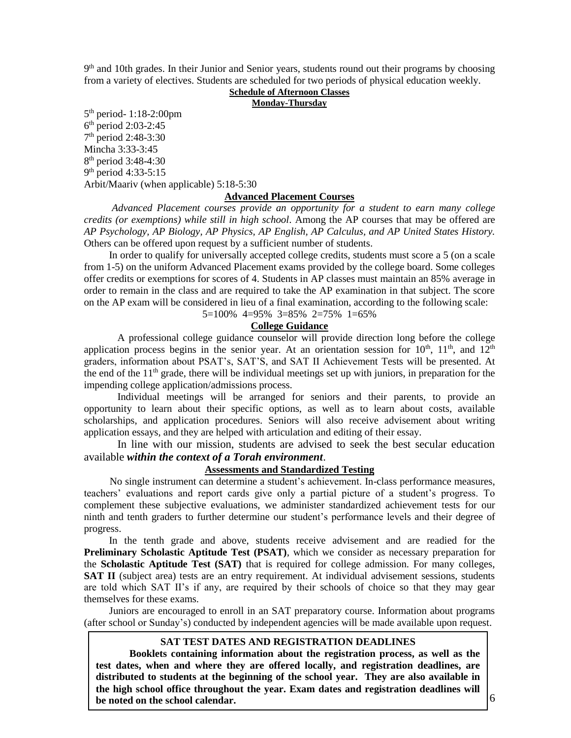9<sup>th</sup> and 10th grades. In their Junior and Senior years, students round out their programs by choosing from a variety of electives. Students are scheduled for two periods of physical education weekly.

# **Schedule of Afternoon Classes**

**Monday-Thursday**

5 th period- 1:18-2:00pm 6 th period 2:03-2:45 7 th period 2:48-3:30 Mincha 3:33-3:45 8 th period 3:48-4:30 9<sup>th</sup> period 4:33-5:15 Arbit/Maariv (when applicable) 5:18-5:30

#### **Advanced Placement Courses**

*Advanced Placement courses provide an opportunity for a student to earn many college credits (or exemptions) while still in high school*. Among the AP courses that may be offered are *AP Psychology, AP Biology, AP Physics, AP English, AP Calculus, and AP United States History.*  Others can be offered upon request by a sufficient number of students.

In order to qualify for universally accepted college credits, students must score a 5 (on a scale from 1-5) on the uniform Advanced Placement exams provided by the college board. Some colleges offer credits or exemptions for scores of 4. Students in AP classes must maintain an 85% average in order to remain in the class and are required to take the AP examination in that subject. The score on the AP exam will be considered in lieu of a final examination, according to the following scale: 5=100% 4=95% 3=85% 2=75% 1=65%

## **College Guidance**

A professional college guidance counselor will provide direction long before the college application process begins in the senior year. At an orientation session for  $10<sup>th</sup>$ ,  $11<sup>th</sup>$ , and  $12<sup>th</sup>$ graders, information about PSAT's, SAT'S, and SAT II Achievement Tests will be presented. At the end of the  $11<sup>th</sup>$  grade, there will be individual meetings set up with juniors, in preparation for the impending college application/admissions process.

Individual meetings will be arranged for seniors and their parents, to provide an opportunity to learn about their specific options, as well as to learn about costs, available scholarships, and application procedures. Seniors will also receive advisement about writing application essays, and they are helped with articulation and editing of their essay.

In line with our mission, students are advised to seek the best secular education available *within the context of a Torah environment*.

# **Assessments and Standardized Testing**

 No single instrument can determine a student's achievement. In-class performance measures, teachers' evaluations and report cards give only a partial picture of a student's progress. To complement these subjective evaluations, we administer standardized achievement tests for our ninth and tenth graders to further determine our student's performance levels and their degree of progress.

In the tenth grade and above, students receive advisement and are readied for the **Preliminary Scholastic Aptitude Test (PSAT)**, which we consider as necessary preparation for the **Scholastic Aptitude Test (SAT)** that is required for college admission. For many colleges, **SAT II** (subject area) tests are an entry requirement. At individual advisement sessions, students are told which SAT II's if any, are required by their schools of choice so that they may gear themselves for these exams.

Juniors are encouraged to enroll in an SAT preparatory course. Information about programs (after school or Sunday's) conducted by independent agencies will be made available upon request.

# **SAT TEST DATES AND REGISTRATION DEADLINES**

**Booklets containing information about the registration process, as well as the test dates, when and where they are offered locally, and registration deadlines, are distributed to students at the beginning of the school year. They are also available in the high school office throughout the year. Exam dates and registration deadlines will be noted on the school calendar.**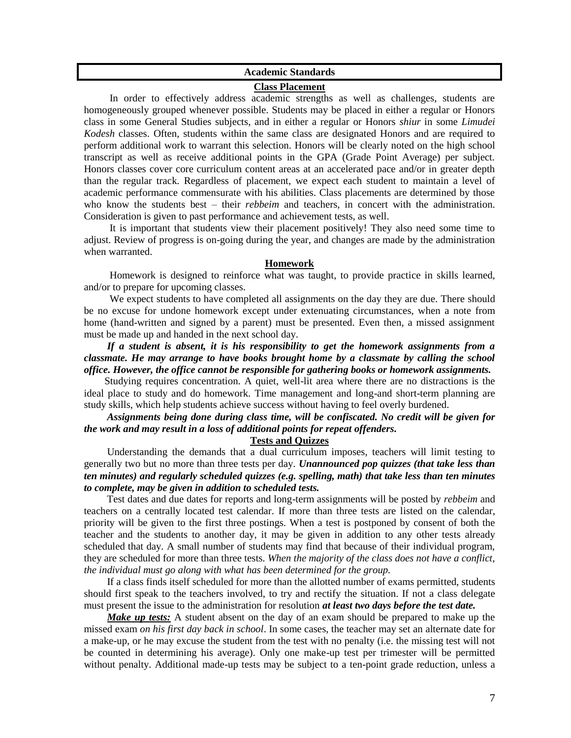# **Academic Standards**

# **Class Placement**

 In order to effectively address academic strengths as well as challenges, students are homogeneously grouped whenever possible. Students may be placed in either a regular or Honors class in some General Studies subjects, and in either a regular or Honors *shiur* in some *Limudei Kodesh* classes. Often, students within the same class are designated Honors and are required to perform additional work to warrant this selection. Honors will be clearly noted on the high school transcript as well as receive additional points in the GPA (Grade Point Average) per subject. Honors classes cover core curriculum content areas at an accelerated pace and/or in greater depth than the regular track. Regardless of placement, we expect each student to maintain a level of academic performance commensurate with his abilities. Class placements are determined by those who know the students best – their *rebbeim* and teachers, in concert with the administration. Consideration is given to past performance and achievement tests, as well.

 It is important that students view their placement positively! They also need some time to adjust. Review of progress is on-going during the year, and changes are made by the administration when warranted.

# **Homework**

 Homework is designed to reinforce what was taught, to provide practice in skills learned, and/or to prepare for upcoming classes.

 We expect students to have completed all assignments on the day they are due. There should be no excuse for undone homework except under extenuating circumstances, when a note from home (hand-written and signed by a parent) must be presented. Even then, a missed assignment must be made up and handed in the next school day.

 *If a student is absent, it is his responsibility to get the homework assignments from a classmate. He may arrange to have books brought home by a classmate by calling the school office. However, the office cannot be responsible for gathering books or homework assignments.*

 Studying requires concentration. A quiet, well-lit area where there are no distractions is the ideal place to study and do homework. Time management and long-and short-term planning are study skills, which help students achieve success without having to feel overly burdened.

# *Assignments being done during class time, will be confiscated. No credit will be given for the work and may result in a loss of additional points for repeat offenders.*

## **Tests and Quizzes**

 Understanding the demands that a dual curriculum imposes, teachers will limit testing to generally two but no more than three tests per day. *Unannounced pop quizzes (that take less than ten minutes) and regularly scheduled quizzes (e.g. spelling, math) that take less than ten minutes to complete, may be given in addition to scheduled tests.* 

 Test dates and due dates for reports and long-term assignments will be posted by *rebbeim* and teachers on a centrally located test calendar. If more than three tests are listed on the calendar, priority will be given to the first three postings. When a test is postponed by consent of both the teacher and the students to another day, it may be given in addition to any other tests already scheduled that day. A small number of students may find that because of their individual program, they are scheduled for more than three tests. *When the majority of the class does not have a conflict, the individual must go along with what has been determined for the group.*

 If a class finds itself scheduled for more than the allotted number of exams permitted, students should first speak to the teachers involved, to try and rectify the situation. If not a class delegate must present the issue to the administration for resolution *at least two days before the test date.*

*Make up tests:* A student absent on the day of an exam should be prepared to make up the missed exam *on his first day back in school*. In some cases, the teacher may set an alternate date for a make-up, or he may excuse the student from the test with no penalty (i.e. the missing test will not be counted in determining his average). Only one make-up test per trimester will be permitted without penalty. Additional made-up tests may be subject to a ten-point grade reduction, unless a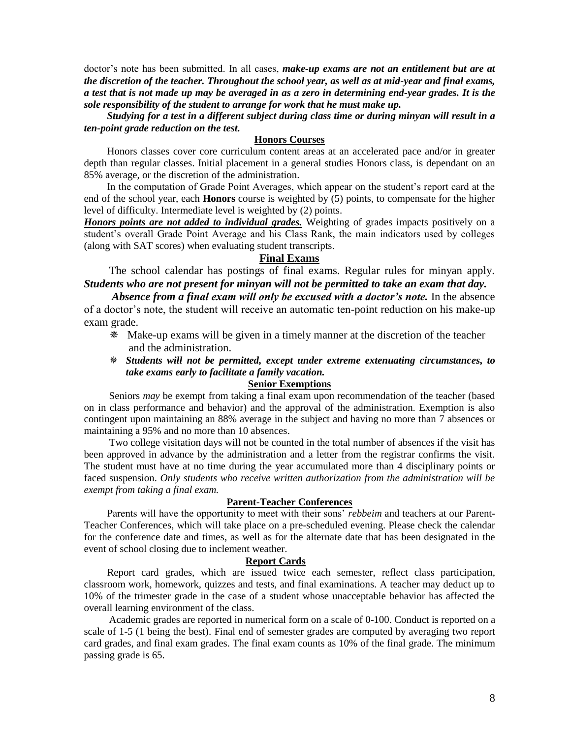doctor's note has been submitted. In all cases, *make-up exams are not an entitlement but are at the discretion of the teacher. Throughout the school year, as well as at mid-year and final exams, a test that is not made up may be averaged in as a zero in determining end-year grades. It is the sole responsibility of the student to arrange for work that he must make up.* 

 *Studying for a test in a different subject during class time or during minyan will result in a ten-point grade reduction on the test.*

# **Honors Courses**

 Honors classes cover core curriculum content areas at an accelerated pace and/or in greater depth than regular classes. Initial placement in a general studies Honors class, is dependant on an 85% average, or the discretion of the administration.

 In the computation of Grade Point Averages, which appear on the student's report card at the end of the school year, each **Honors** course is weighted by (5) points, to compensate for the higher level of difficulty. Intermediate level is weighted by (2) points.

*Honors points are not added to individual grades.* Weighting of grades impacts positively on a student's overall Grade Point Average and his Class Rank, the main indicators used by colleges (along with SAT scores) when evaluating student transcripts.

# **Final Exams**

 The school calendar has postings of final exams. Regular rules for minyan apply. *Students who are not present for minyan will not be permitted to take an exam that day.* 

 *Absence from a final exam will only be excused with a doctor's note.* In the absence of a doctor's note, the student will receive an automatic ten-point reduction on his make-up exam grade.

- Make-up exams will be given in a timely manner at the discretion of the teacher and the administration.
- *Students will not be permitted, except under extreme extenuating circumstances, to take exams early to facilitate a family vacation.*

# **Senior Exemptions**

Seniors *may* be exempt from taking a final exam upon recommendation of the teacher (based on in class performance and behavior) and the approval of the administration. Exemption is also contingent upon maintaining an 88% average in the subject and having no more than 7 absences or maintaining a 95% and no more than 10 absences.

Two college visitation days will not be counted in the total number of absences if the visit has been approved in advance by the administration and a letter from the registrar confirms the visit. The student must have at no time during the year accumulated more than 4 disciplinary points or faced suspension. *Only students who receive written authorization from the administration will be exempt from taking a final exam.*

# **Parent-Teacher Conferences**

 Parents will have the opportunity to meet with their sons' *rebbeim* and teachers at our Parent-Teacher Conferences, which will take place on a pre-scheduled evening. Please check the calendar for the conference date and times, as well as for the alternate date that has been designated in the event of school closing due to inclement weather.

#### **Report Cards**

 Report card grades, which are issued twice each semester, reflect class participation, classroom work, homework, quizzes and tests, and final examinations. A teacher may deduct up to 10% of the trimester grade in the case of a student whose unacceptable behavior has affected the overall learning environment of the class.

Academic grades are reported in numerical form on a scale of 0-100. Conduct is reported on a scale of 1-5 (1 being the best). Final end of semester grades are computed by averaging two report card grades, and final exam grades. The final exam counts as 10% of the final grade. The minimum passing grade is 65.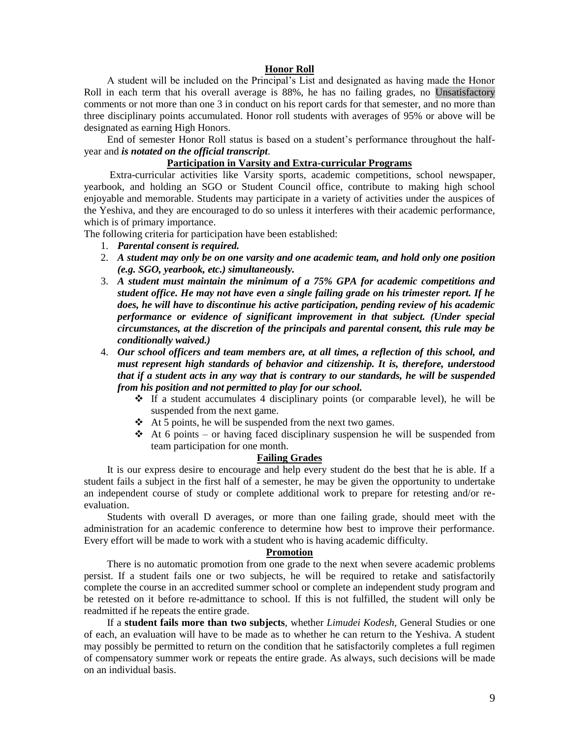#### **Honor Roll**

 A student will be included on the Principal's List and designated as having made the Honor Roll in each term that his overall average is 88%, he has no failing grades, no Unsatisfactory comments or not more than one 3 in conduct on his report cards for that semester, and no more than three disciplinary points accumulated. Honor roll students with averages of 95% or above will be designated as earning High Honors.

 End of semester Honor Roll status is based on a student's performance throughout the halfyear and *is notated on the official transcript*.

# **Participation in Varsity and Extra-curricular Programs**

 Extra-curricular activities like Varsity sports, academic competitions, school newspaper, yearbook, and holding an SGO or Student Council office, contribute to making high school enjoyable and memorable. Students may participate in a variety of activities under the auspices of the Yeshiva, and they are encouraged to do so unless it interferes with their academic performance, which is of primary importance.

The following criteria for participation have been established:

- 1. *Parental consent is required.*
- 2. *A student may only be on one varsity and one academic team, and hold only one position (e.g. SGO, yearbook, etc.) simultaneously.*
- 3. *A student must maintain the minimum of a 75% GPA for academic competitions and student office. He may not have even a single failing grade on his trimester report. If he does, he will have to discontinue his active participation, pending review of his academic performance or evidence of significant improvement in that subject. (Under special circumstances, at the discretion of the principals and parental consent, this rule may be conditionally waived.)*
- 4. *Our school officers and team members are, at all times, a reflection of this school, and must represent high standards of behavior and citizenship. It is, therefore, understood that if a student acts in any way that is contrary to our standards, he will be suspended from his position and not permitted to play for our school.* 
	- $\div$  If a student accumulates 4 disciplinary points (or comparable level), he will be suspended from the next game.
	- $\triangle$  At 5 points, he will be suspended from the next two games.
	- $\triangleleft$  At 6 points or having faced disciplinary suspension he will be suspended from team participation for one month.

# **Failing Grades**

 It is our express desire to encourage and help every student do the best that he is able. If a student fails a subject in the first half of a semester, he may be given the opportunity to undertake an independent course of study or complete additional work to prepare for retesting and/or reevaluation.

 Students with overall D averages, or more than one failing grade, should meet with the administration for an academic conference to determine how best to improve their performance. Every effort will be made to work with a student who is having academic difficulty.

# **Promotion**

 There is no automatic promotion from one grade to the next when severe academic problems persist. If a student fails one or two subjects, he will be required to retake and satisfactorily complete the course in an accredited summer school or complete an independent study program and be retested on it before re-admittance to school. If this is not fulfilled, the student will only be readmitted if he repeats the entire grade.

 If a **student fails more than two subjects**, whether *Limudei Kodesh*, General Studies or one of each, an evaluation will have to be made as to whether he can return to the Yeshiva. A student may possibly be permitted to return on the condition that he satisfactorily completes a full regimen of compensatory summer work or repeats the entire grade. As always, such decisions will be made on an individual basis.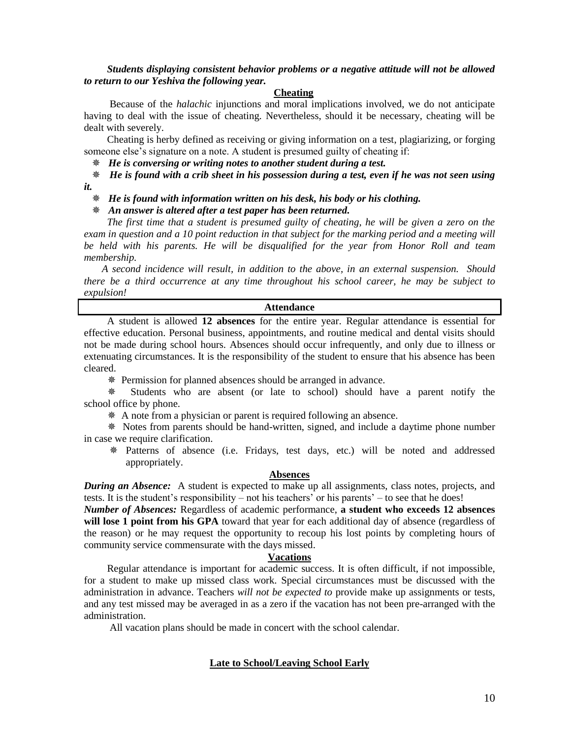*Students displaying consistent behavior problems or a negative attitude will not be allowed to return to our Yeshiva the following year.*

# **Cheating**

 Because of the *halachic* injunctions and moral implications involved, we do not anticipate having to deal with the issue of cheating. Nevertheless, should it be necessary, cheating will be dealt with severely.

 Cheating is herby defined as receiving or giving information on a test, plagiarizing, or forging someone else's signature on a note. A student is presumed guilty of cheating if:

 *He is conversing or writing notes to another student during a test.*

 *He is found with a crib sheet in his possession during a test, even if he was not seen using* 

*it.*

 *He is found with information written on his desk, his body or his clothing.* 

 *An answer is altered after a test paper has been returned.*

 *The first time that a student is presumed guilty of cheating, he will be given a zero on the exam in question and a 10 point reduction in that subject for the marking period and a meeting will be held with his parents. He will be disqualified for the year from Honor Roll and team membership.* 

 *A second incidence will result, in addition to the above, in an external suspension. Should there be a third occurrence at any time throughout his school career, he may be subject to expulsion!*

# **Attendance**

 A student is allowed **12 absences** for the entire year. Regular attendance is essential for effective education. Personal business, appointments, and routine medical and dental visits should not be made during school hours. Absences should occur infrequently, and only due to illness or extenuating circumstances. It is the responsibility of the student to ensure that his absence has been cleared.

Permission for planned absences should be arranged in advance.

 Students who are absent (or late to school) should have a parent notify the school office by phone.

A note from a physician or parent is required following an absence.

 Notes from parents should be hand-written, signed, and include a daytime phone number in case we require clarification.

 Patterns of absence (i.e. Fridays, test days, etc.) will be noted and addressed appropriately.

#### **Absences**

**During an Absence:** A student is expected to make up all assignments, class notes, projects, and tests. It is the student's responsibility – not his teachers' or his parents' – to see that he does!

*Number of Absences:* Regardless of academic performance, **a student who exceeds 12 absences will lose 1 point from his GPA** toward that year for each additional day of absence (regardless of the reason) or he may request the opportunity to recoup his lost points by completing hours of community service commensurate with the days missed.

# **Vacations**

 Regular attendance is important for academic success. It is often difficult, if not impossible, for a student to make up missed class work. Special circumstances must be discussed with the administration in advance. Teachers *will not be expected to* provide make up assignments or tests, and any test missed may be averaged in as a zero if the vacation has not been pre-arranged with the administration.

All vacation plans should be made in concert with the school calendar.

# **Late to School/Leaving School Early**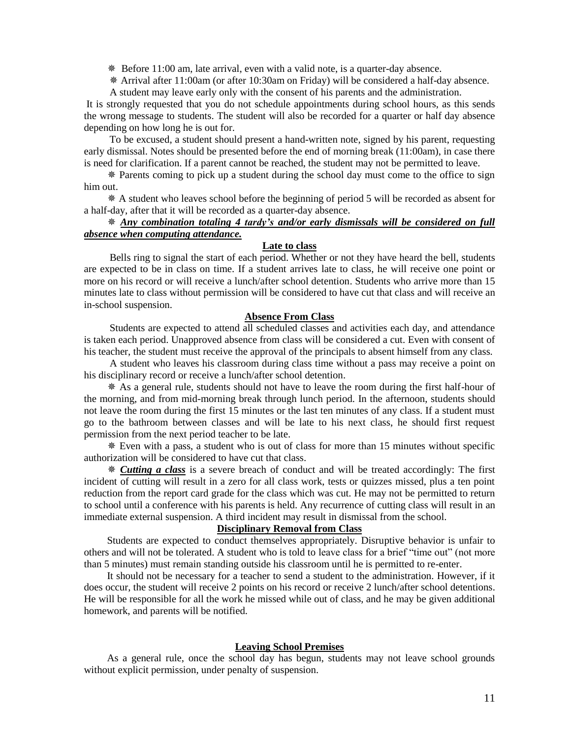$*$  Before 11:00 am, late arrival, even with a valid note, is a quarter-day absence.

Arrival after 11:00am (or after 10:30am on Friday) will be considered a half-day absence.

A student may leave early only with the consent of his parents and the administration.

It is strongly requested that you do not schedule appointments during school hours, as this sends the wrong message to students. The student will also be recorded for a quarter or half day absence depending on how long he is out for.

 To be excused, a student should present a hand-written note, signed by his parent, requesting early dismissal. Notes should be presented before the end of morning break (11:00am), in case there is need for clarification. If a parent cannot be reached, the student may not be permitted to leave.

 Parents coming to pick up a student during the school day must come to the office to sign him out.

 A student who leaves school before the beginning of period 5 will be recorded as absent for a half-day, after that it will be recorded as a quarter-day absence.

# *Any combination totaling 4 tardy's and/or early dismissals will be considered on full absence when computing attendance.*

# **Late to class**

 Bells ring to signal the start of each period. Whether or not they have heard the bell, students are expected to be in class on time. If a student arrives late to class, he will receive one point or more on his record or will receive a lunch/after school detention. Students who arrive more than 15 minutes late to class without permission will be considered to have cut that class and will receive an in-school suspension.

#### **Absence From Class**

 Students are expected to attend all scheduled classes and activities each day, and attendance is taken each period. Unapproved absence from class will be considered a cut. Even with consent of his teacher, the student must receive the approval of the principals to absent himself from any class.

 A student who leaves his classroom during class time without a pass may receive a point on his disciplinary record or receive a lunch/after school detention.

 As a general rule, students should not have to leave the room during the first half-hour of the morning, and from mid-morning break through lunch period. In the afternoon, students should not leave the room during the first 15 minutes or the last ten minutes of any class. If a student must go to the bathroom between classes and will be late to his next class, he should first request permission from the next period teacher to be late.

 Even with a pass, a student who is out of class for more than 15 minutes without specific authorization will be considered to have cut that class.

 *Cutting a class* is a severe breach of conduct and will be treated accordingly: The first incident of cutting will result in a zero for all class work, tests or quizzes missed, plus a ten point reduction from the report card grade for the class which was cut. He may not be permitted to return to school until a conference with his parents is held. Any recurrence of cutting class will result in an immediate external suspension. A third incident may result in dismissal from the school.

# **Disciplinary Removal from Class**

 Students are expected to conduct themselves appropriately. Disruptive behavior is unfair to others and will not be tolerated. A student who is told to leave class for a brief "time out" (not more than 5 minutes) must remain standing outside his classroom until he is permitted to re-enter.

 It should not be necessary for a teacher to send a student to the administration. However, if it does occur, the student will receive 2 points on his record or receive 2 lunch/after school detentions. He will be responsible for all the work he missed while out of class, and he may be given additional homework, and parents will be notified.

#### **Leaving School Premises**

 As a general rule, once the school day has begun, students may not leave school grounds without explicit permission, under penalty of suspension.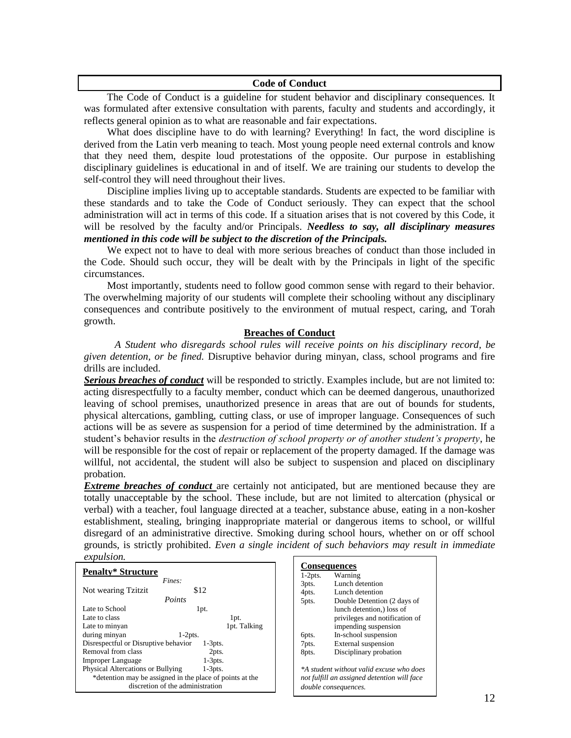# **Code of Conduct**

 The Code of Conduct is a guideline for student behavior and disciplinary consequences. It was formulated after extensive consultation with parents, faculty and students and accordingly, it reflects general opinion as to what are reasonable and fair expectations.

What does discipline have to do with learning? Everything! In fact, the word discipline is derived from the Latin verb meaning to teach. Most young people need external controls and know that they need them, despite loud protestations of the opposite. Our purpose in establishing disciplinary guidelines is educational in and of itself. We are training our students to develop the self-control they will need throughout their lives.

 Discipline implies living up to acceptable standards. Students are expected to be familiar with these standards and to take the Code of Conduct seriously. They can expect that the school administration will act in terms of this code. If a situation arises that is not covered by this Code, it will be resolved by the faculty and/or Principals. *Needless to say, all disciplinary measures mentioned in this code will be subject to the discretion of the Principals.* 

 We expect not to have to deal with more serious breaches of conduct than those included in the Code. Should such occur, they will be dealt with by the Principals in light of the specific circumstances.

 Most importantly, students need to follow good common sense with regard to their behavior. The overwhelming majority of our students will complete their schooling without any disciplinary consequences and contribute positively to the environment of mutual respect, caring, and Torah growth.

# **Breaches of Conduct**

 *A Student who disregards school rules will receive points on his disciplinary record, be given detention, or be fined.* Disruptive behavior during minyan, class, school programs and fire drills are included.

*Serious breaches of conduct* will be responded to strictly. Examples include, but are not limited to: acting disrespectfully to a faculty member, conduct which can be deemed dangerous, unauthorized leaving of school premises, unauthorized presence in areas that are out of bounds for students, physical altercations, gambling, cutting class, or use of improper language. Consequences of such actions will be as severe as suspension for a period of time determined by the administration. If a student's behavior results in the *destruction of school property or of another student's property*, he will be responsible for the cost of repair or replacement of the property damaged. If the damage was willful, not accidental, the student will also be subject to suspension and placed on disciplinary probation.

**Extreme breaches of conduct** are certainly not anticipated, but are mentioned because they are totally unacceptable by the school. These include, but are not limited to altercation (physical or verbal) with a teacher, foul language directed at a teacher, substance abuse, eating in a non-kosher establishment, stealing, bringing inappropriate material or dangerous items to school, or willful disregard of an administrative directive. Smoking during school hours, whether on or off school grounds, is strictly prohibited. *Even a single incident of such behaviors may result in immediate expulsion.*

| <i>copuou</i>                                            |                                             |
|----------------------------------------------------------|---------------------------------------------|
|                                                          | <b>Consequences</b>                         |
| <b>Penalty* Structure</b>                                | Warning<br>$1-2pts.$                        |
| Fines:                                                   | Lunch detention<br>3pts.                    |
| \$12<br>Not wearing Tzitzit                              | Lunch detention<br>4pts.                    |
| Points                                                   | Double Detention (2 days of<br>5pts.        |
| Late to School<br>1pt.                                   | lunch detention, loss of                    |
| Late to class<br>lpt.                                    | privileges and notification of              |
| Late to minyan<br>1pt. Talking                           | impending suspension                        |
| during minyan<br>$1-2pts.$                               | In-school suspension<br>6pts.               |
| Disrespectful or Disruptive behavior<br>$1-3pts.$        | External suspension<br>7pts.                |
| Removal from class<br>2pts.                              | Disciplinary probation<br>8pts.             |
| $1-3pts.$<br>Improper Language                           |                                             |
| Physical Altercations or Bullying<br>$1-3pts.$           | *A student without valid excuse who does    |
| *detention may be assigned in the place of points at the | not fulfill an assigned detention will face |
| discretion of the administration                         | double consequences.                        |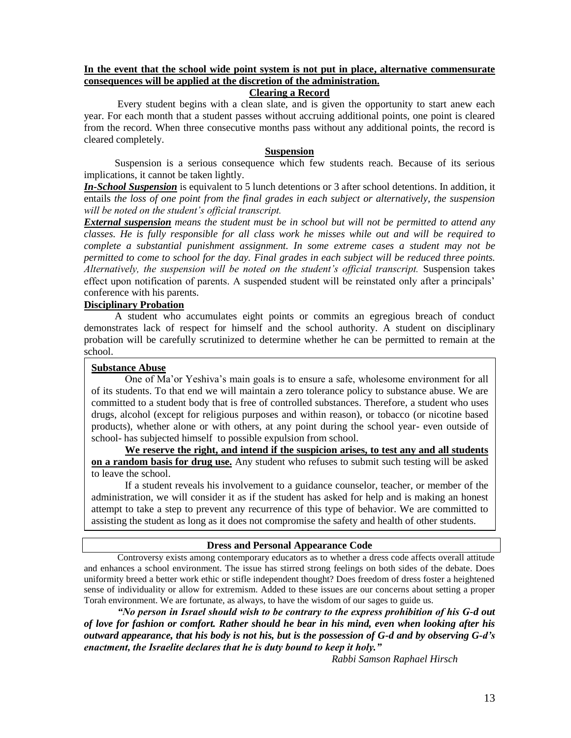# **In the event that the school wide point system is not put in place, alternative commensurate consequences will be applied at the discretion of the administration.**

# **Clearing a Record**

Every student begins with a clean slate, and is given the opportunity to start anew each year. For each month that a student passes without accruing additional points, one point is cleared from the record. When three consecutive months pass without any additional points, the record is cleared completely.

# **Suspension**

 Suspension is a serious consequence which few students reach. Because of its serious implications, it cannot be taken lightly.

*In-School Suspension* is equivalent to 5 lunch detentions or 3 after school detentions. In addition, it entails *the loss of one point from the final grades in each subject or alternatively, the suspension will be noted on the student's official transcript.*

*External suspension means the student must be in school but will not be permitted to attend any classes. He is fully responsible for all class work he misses while out and will be required to complete a substantial punishment assignment. In some extreme cases a student may not be permitted to come to school for the day. Final grades in each subject will be reduced three points. Alternatively, the suspension will be noted on the student's official transcript.* Suspension takes effect upon notification of parents. A suspended student will be reinstated only after a principals' conference with his parents.

# **Disciplinary Probation**

 A student who accumulates eight points or commits an egregious breach of conduct demonstrates lack of respect for himself and the school authority. A student on disciplinary probation will be carefully scrutinized to determine whether he can be permitted to remain at the school.

# **Substance Abuse**

One of Ma'or Yeshiva's main goals is to ensure a safe, wholesome environment for all of its students. To that end we will maintain a zero tolerance policy to substance abuse. We are committed to a student body that is free of controlled substances. Therefore, a student who uses drugs, alcohol (except for religious purposes and within reason), or tobacco (or nicotine based products), whether alone or with others, at any point during the school year- even outside of school- has subjected himself to possible expulsion from school.

**We reserve the right, and intend if the suspicion arises, to test any and all students on a random basis for drug use.** Any student who refuses to submit such testing will be asked to leave the school.

If a student reveals his involvement to a guidance counselor, teacher, or member of the administration, we will consider it as if the student has asked for help and is making an honest attempt to take a step to prevent any recurrence of this type of behavior. We are committed to assisting the student as long as it does not compromise the safety and health of other students.

# **Dress and Personal Appearance Code**

Controversy exists among contemporary educators as to whether a dress code affects overall attitude and enhances a school environment. The issue has stirred strong feelings on both sides of the debate. Does uniformity breed a better work ethic or stifle independent thought? Does freedom of dress foster a heightened sense of individuality or allow for extremism. Added to these issues are our concerns about setting a proper Torah environment. We are fortunate, as always, to have the wisdom of our sages to guide us.

*"No person in Israel should wish to be contrary to the express prohibition of his G-d out of love for fashion or comfort. Rather should he bear in his mind, even when looking after his outward appearance, that his body is not his, but is the possession of G-d and by observing G-d's enactment, the Israelite declares that he is duty bound to keep it holy."*

*Rabbi Samson Raphael Hirsch*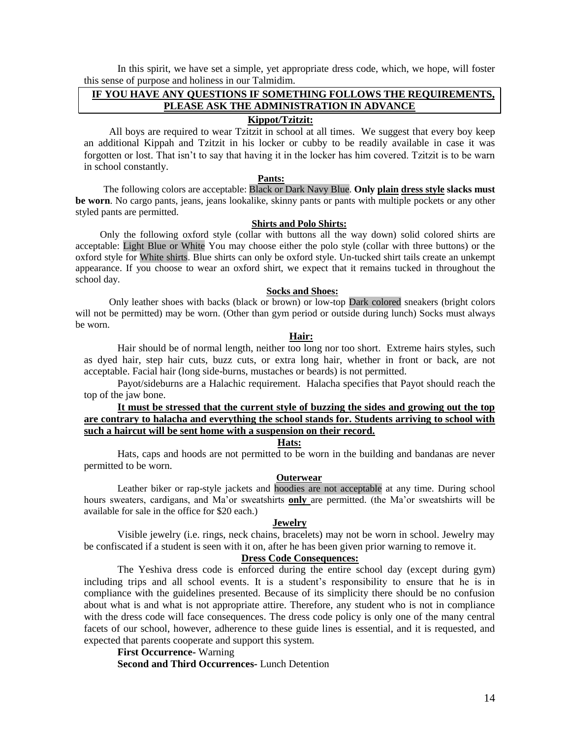In this spirit, we have set a simple, yet appropriate dress code, which, we hope, will foster this sense of purpose and holiness in our Talmidim.

# **IF YOU HAVE ANY QUESTIONS IF SOMETHING FOLLOWS THE REQUIREMENTS, PLEASE ASK THE ADMINISTRATION IN ADVANCE**

# **Kippot/Tzitzit:**

All boys are required to wear Tzitzit in school at all times. We suggest that every boy keep an additional Kippah and Tzitzit in his locker or cubby to be readily available in case it was forgotten or lost. That isn't to say that having it in the locker has him covered. Tzitzit is to be warn in school constantly.

#### **Pants:**

 The following colors are acceptable: Black or Dark Navy Blue. **Only plain dress style slacks must be worn**. No cargo pants, jeans, jeans lookalike, skinny pants or pants with multiple pockets or any other styled pants are permitted.

#### **Shirts and Polo Shirts:**

Only the following oxford style (collar with buttons all the way down) solid colored shirts are acceptable: Light Blue or White You may choose either the polo style (collar with three buttons) or the oxford style for White shirts. Blue shirts can only be oxford style. Un-tucked shirt tails create an unkempt appearance. If you choose to wear an oxford shirt, we expect that it remains tucked in throughout the school day.

#### **Socks and Shoes:**

Only leather shoes with backs (black or brown) or low-top Dark colored sneakers (bright colors will not be permitted) may be worn. (Other than gym period or outside during lunch) Socks must always be worn.

# *Hair: Hair:*

Hair should be of normal length, neither too long nor too short. Extreme hairs styles, such as dyed hair, step hair cuts, buzz cuts, or extra long hair, whether in front or back, are not acceptable. Facial hair (long side-burns, mustaches or beards) is not permitted.

Payot/sideburns are a Halachic requirement. Halacha specifies that Payot should reach the top of the jaw bone.

# **It must be stressed that the current style of buzzing the sides and growing out the top are contrary to halacha and everything the school stands for. Students arriving to school with such a haircut will be sent home with a suspension on their record.**

#### **Hats:**

Hats, caps and hoods are not permitted to be worn in the building and bandanas are never permitted to be worn.

# **Outerwear**

Leather biker or rap-style jackets and hoodies are not acceptable at any time. During school hours sweaters, cardigans, and Ma'or sweatshirts **only** are permitted. (the Ma'or sweatshirts will be available for sale in the office for \$20 each.)

# **Jewelry**

Visible jewelry (i.e. rings, neck chains, bracelets) may not be worn in school. Jewelry may be confiscated if a student is seen with it on, after he has been given prior warning to remove it.

# **Dress Code Consequences:**

The Yeshiva dress code is enforced during the entire school day (except during gym) including trips and all school events. It is a student's responsibility to ensure that he is in compliance with the guidelines presented. Because of its simplicity there should be no confusion about what is and what is not appropriate attire. Therefore, any student who is not in compliance with the dress code will face consequences. The dress code policy is only one of the many central facets of our school, however, adherence to these guide lines is essential, and it is requested, and expected that parents cooperate and support this system.

**First Occurrence-** Warning **Second and Third Occurrences-** Lunch Detention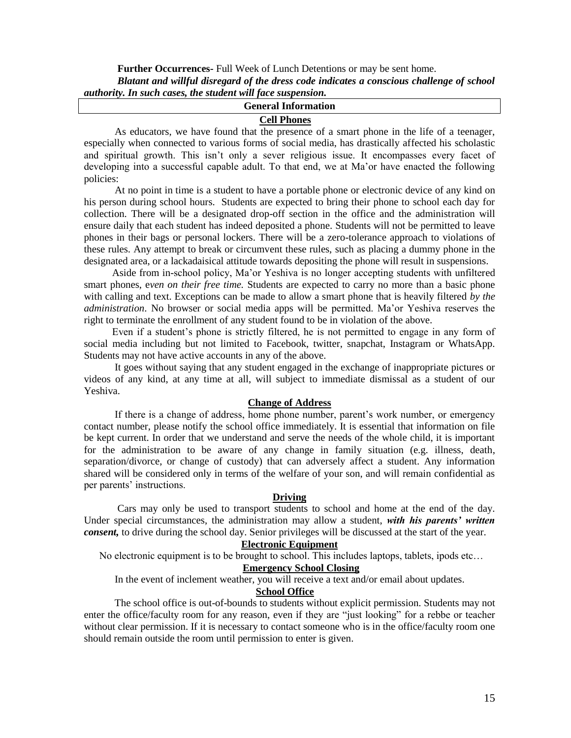**Further Occurrences-** Full Week of Lunch Detentions or may be sent home. *Blatant and willful disregard of the dress code indicates a conscious challenge of school authority. In such cases, the student will face suspension.*

| <b>General Information</b>                                                                |  |  |  |
|-------------------------------------------------------------------------------------------|--|--|--|
| <b>Cell Phones</b>                                                                        |  |  |  |
| As educators, we have found that the presence of a smart phone in the life of a teenager, |  |  |  |

especially when connected to various forms of social media, has drastically affected his scholastic and spiritual growth. This isn't only a sever religious issue. It encompasses every facet of developing into a successful capable adult. To that end, we at Ma'or have enacted the following policies:

 At no point in time is a student to have a portable phone or electronic device of any kind on his person during school hours. Students are expected to bring their phone to school each day for collection. There will be a designated drop-off section in the office and the administration will ensure daily that each student has indeed deposited a phone. Students will not be permitted to leave phones in their bags or personal lockers. There will be a zero-tolerance approach to violations of these rules. Any attempt to break or circumvent these rules, such as placing a dummy phone in the designated area, or a lackadaisical attitude towards depositing the phone will result in suspensions.

 Aside from in-school policy, Ma'or Yeshiva is no longer accepting students with unfiltered smart phones, e*ven on their free time.* Students are expected to carry no more than a basic phone with calling and text. Exceptions can be made to allow a smart phone that is heavily filtered *by the administration*. No browser or social media apps will be permitted. Ma'or Yeshiva reserves the right to terminate the enrollment of any student found to be in violation of the above.

 Even if a student's phone is strictly filtered, he is not permitted to engage in any form of social media including but not limited to Facebook, twitter, snapchat, Instagram or WhatsApp. Students may not have active accounts in any of the above.

 It goes without saying that any student engaged in the exchange of inappropriate pictures or videos of any kind, at any time at all, will subject to immediate dismissal as a student of our Yeshiva.

# **Change of Address**

 If there is a change of address, home phone number, parent's work number, or emergency contact number, please notify the school office immediately. It is essential that information on file be kept current. In order that we understand and serve the needs of the whole child, it is important for the administration to be aware of any change in family situation (e.g. illness, death, separation/divorce, or change of custody) that can adversely affect a student. Any information shared will be considered only in terms of the welfare of your son, and will remain confidential as per parents' instructions.

# **Driving**

Cars may only be used to transport students to school and home at the end of the day. Under special circumstances, the administration may allow a student, *with his parents' written consent,* to drive during the school day. Senior privileges will be discussed at the start of the year.

# **Electronic Equipment**

No electronic equipment is to be brought to school. This includes laptops, tablets, ipods etc…

# **Emergency School Closing**

In the event of inclement weather, you will receive a text and/or email about updates.

# **School Office**

 The school office is out-of-bounds to students without explicit permission. Students may not enter the office/faculty room for any reason, even if they are "just looking" for a rebbe or teacher without clear permission. If it is necessary to contact someone who is in the office/faculty room one should remain outside the room until permission to enter is given.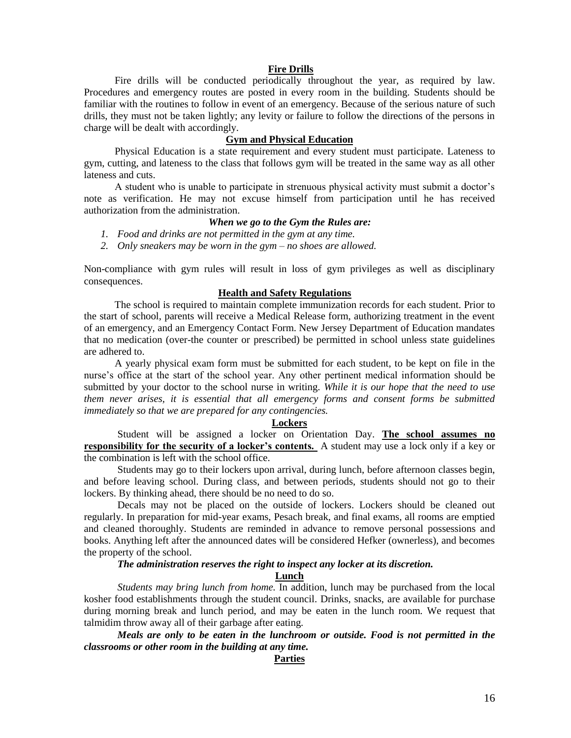## **Fire Drills**

 Fire drills will be conducted periodically throughout the year, as required by law. Procedures and emergency routes are posted in every room in the building. Students should be familiar with the routines to follow in event of an emergency. Because of the serious nature of such drills, they must not be taken lightly; any levity or failure to follow the directions of the persons in charge will be dealt with accordingly.

#### **Gym and Physical Education**

 Physical Education is a state requirement and every student must participate. Lateness to gym, cutting, and lateness to the class that follows gym will be treated in the same way as all other lateness and cuts.

 A student who is unable to participate in strenuous physical activity must submit a doctor's note as verification. He may not excuse himself from participation until he has received authorization from the administration.

# *When we go to the Gym the Rules are:*

- *1. Food and drinks are not permitted in the gym at any time.*
- *2. Only sneakers may be worn in the gym – no shoes are allowed.*

Non-compliance with gym rules will result in loss of gym privileges as well as disciplinary consequences.

#### **Health and Safety Regulations**

 The school is required to maintain complete immunization records for each student. Prior to the start of school, parents will receive a Medical Release form, authorizing treatment in the event of an emergency, and an Emergency Contact Form. New Jersey Department of Education mandates that no medication (over-the counter or prescribed) be permitted in school unless state guidelines are adhered to.

 A yearly physical exam form must be submitted for each student, to be kept on file in the nurse's office at the start of the school year. Any other pertinent medical information should be submitted by your doctor to the school nurse in writing. *While it is our hope that the need to use them never arises, it is essential that all emergency forms and consent forms be submitted immediately so that we are prepared for any contingencies.*

#### **Lockers**

Student will be assigned a locker on Orientation Day. **The school assumes no responsibility for the security of a locker's contents.** A student may use a lock only if a key or the combination is left with the school office.

Students may go to their lockers upon arrival, during lunch, before afternoon classes begin, and before leaving school. During class, and between periods, students should not go to their lockers. By thinking ahead, there should be no need to do so.

Decals may not be placed on the outside of lockers. Lockers should be cleaned out regularly. In preparation for mid-year exams, Pesach break, and final exams, all rooms are emptied and cleaned thoroughly. Students are reminded in advance to remove personal possessions and books. Anything left after the announced dates will be considered Hefker (ownerless), and becomes the property of the school.

*The administration reserves the right to inspect any locker at its discretion.*

**Lunch**

*Students may bring lunch from home.* In addition, lunch may be purchased from the local kosher food establishments through the student council. Drinks, snacks, are available for purchase during morning break and lunch period, and may be eaten in the lunch room. We request that talmidim throw away all of their garbage after eating.

*Meals are only to be eaten in the lunchroom or outside. Food is not permitted in the classrooms or other room in the building at any time.* 

# **Parties**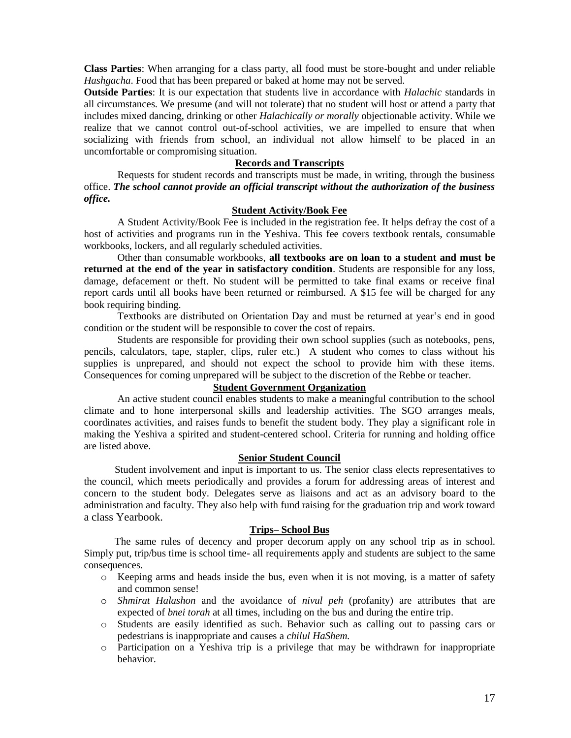**Class Parties**: When arranging for a class party, all food must be store-bought and under reliable *Hashgacha*. Food that has been prepared or baked at home may not be served.

**Outside Parties**: It is our expectation that students live in accordance with *Halachic* standards in all circumstances. We presume (and will not tolerate) that no student will host or attend a party that includes mixed dancing, drinking or other *Halachically or morally* objectionable activity. While we realize that we cannot control out-of-school activities, we are impelled to ensure that when socializing with friends from school, an individual not allow himself to be placed in an uncomfortable or compromising situation.

# **Records and Transcripts**

Requests for student records and transcripts must be made, in writing, through the business office. *The school cannot provide an official transcript without the authorization of the business office.*

# **Student Activity/Book Fee**

A Student Activity/Book Fee is included in the registration fee. It helps defray the cost of a host of activities and programs run in the Yeshiva. This fee covers textbook rentals, consumable workbooks, lockers, and all regularly scheduled activities.

Other than consumable workbooks, **all textbooks are on loan to a student and must be returned at the end of the year in satisfactory condition**. Students are responsible for any loss, damage, defacement or theft. No student will be permitted to take final exams or receive final report cards until all books have been returned or reimbursed. A \$15 fee will be charged for any book requiring binding.

Textbooks are distributed on Orientation Day and must be returned at year's end in good condition or the student will be responsible to cover the cost of repairs.

Students are responsible for providing their own school supplies (such as notebooks, pens, pencils, calculators, tape, stapler, clips, ruler etc.) A student who comes to class without his supplies is unprepared, and should not expect the school to provide him with these items. Consequences for coming unprepared will be subject to the discretion of the Rebbe or teacher.

# **Student Government Organization**

An active student council enables students to make a meaningful contribution to the school climate and to hone interpersonal skills and leadership activities. The SGO arranges meals, coordinates activities, and raises funds to benefit the student body. They play a significant role in making the Yeshiva a spirited and student-centered school. Criteria for running and holding office are listed above.

# **Senior Student Council**

 Student involvement and input is important to us. The senior class elects representatives to the council, which meets periodically and provides a forum for addressing areas of interest and concern to the student body. Delegates serve as liaisons and act as an advisory board to the administration and faculty. They also help with fund raising for the graduation trip and work toward a class Yearbook.

#### **Trips– School Bus**

 The same rules of decency and proper decorum apply on any school trip as in school. Simply put, trip/bus time is school time- all requirements apply and students are subject to the same consequences.

- o Keeping arms and heads inside the bus, even when it is not moving, is a matter of safety and common sense!
- o *Shmirat Halashon* and the avoidance of *nivul peh* (profanity) are attributes that are expected of *bnei torah* at all times, including on the bus and during the entire trip.
- o Students are easily identified as such. Behavior such as calling out to passing cars or pedestrians is inappropriate and causes a *chilul HaShem.*
- o Participation on a Yeshiva trip is a privilege that may be withdrawn for inappropriate behavior.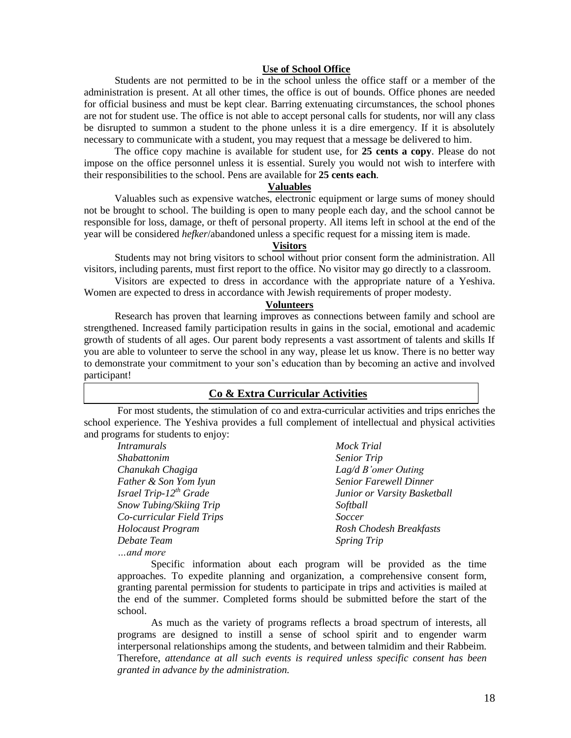# **Use of School Office**

 Students are not permitted to be in the school unless the office staff or a member of the administration is present. At all other times, the office is out of bounds. Office phones are needed for official business and must be kept clear. Barring extenuating circumstances, the school phones are not for student use. The office is not able to accept personal calls for students, nor will any class be disrupted to summon a student to the phone unless it is a dire emergency. If it is absolutely necessary to communicate with a student, you may request that a message be delivered to him.

 The office copy machine is available for student use, for **25 cents a copy**. Please do not impose on the office personnel unless it is essential. Surely you would not wish to interfere with their responsibilities to the school. Pens are available for **25 cents each**.

#### **Valuables**

 Valuables such as expensive watches, electronic equipment or large sums of money should not be brought to school. The building is open to many people each day, and the school cannot be responsible for loss, damage, or theft of personal property. All items left in school at the end of the year will be considered *hefker*/abandoned unless a specific request for a missing item is made.

# **Visitors**

 Students may not bring visitors to school without prior consent form the administration. All visitors, including parents, must first report to the office. No visitor may go directly to a classroom.

 Visitors are expected to dress in accordance with the appropriate nature of a Yeshiva. Women are expected to dress in accordance with Jewish requirements of proper modesty.

# **Volunteers**

 Research has proven that learning improves as connections between family and school are strengthened. Increased family participation results in gains in the social, emotional and academic growth of students of all ages. Our parent body represents a vast assortment of talents and skills If you are able to volunteer to serve the school in any way, please let us know. There is no better way to demonstrate your commitment to your son's education than by becoming an active and involved participant!

# **Co & Extra Curricular Activities**

For most students, the stimulation of co and extra-curricular activities and trips enriches the school experience. The Yeshiva provides a full complement of intellectual and physical activities and programs for students to enjoy:

| <i>Intramurals</i>                 | <b>Mock Trial</b>             |
|------------------------------------|-------------------------------|
| <i>Shabattonim</i>                 | <b>Senior Trip</b>            |
| Chanukah Chagiga                   | $Lag/d B'omer$ Outing         |
| Father & Son Yom Iyun              | <b>Senior Farewell Dinner</b> |
| Israel Trip-12 <sup>th</sup> Grade | Junior or Varsity Basketball  |
| Snow Tubing/Skiing Trip            | Softball                      |
| Co-curricular Field Trips          | Soccer                        |
| Holocaust Program                  | Rosh Chodesh Breakfasts       |
| Debate Team                        | <b>Spring Trip</b>            |
| and more                           |                               |

Specific information about each program will be provided as the time approaches. To expedite planning and organization, a comprehensive consent form, granting parental permission for students to participate in trips and activities is mailed at the end of the summer. Completed forms should be submitted before the start of the school.

As much as the variety of programs reflects a broad spectrum of interests, all programs are designed to instill a sense of school spirit and to engender warm interpersonal relationships among the students, and between talmidim and their Rabbeim. Therefore, *attendance at all such events is required unless specific consent has been granted in advance by the administration.*